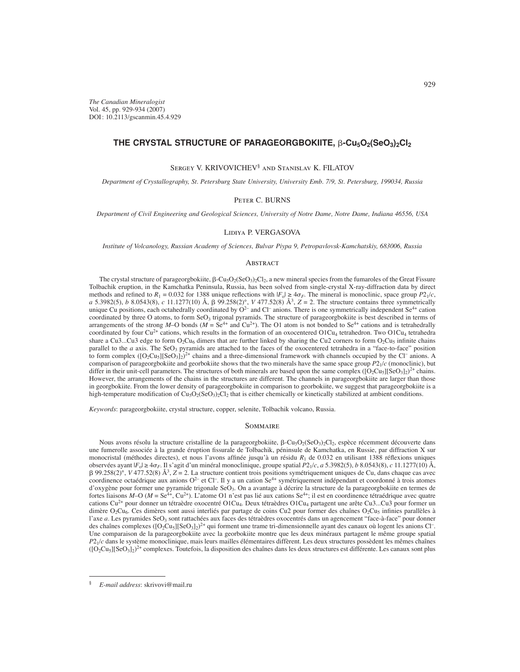*The Canadian Mineralogist* Vol. 45, pp. 929-934 (2007) DOI : 10.2113/gscanmin.45.4.929

# THE CRYSTAL STRUCTURE OF PARAGEORGBOKIITE, β-Cu<sub>5</sub>O<sub>2</sub>(SeO<sub>3</sub>)<sub>2</sub>Cl<sub>2</sub>

Sergey V. KRIVOVICHEV<sup>§</sup> and Stanislav K. FILATOV

*Department of Crystallography, St. Petersburg State University, University Emb. 7/9, St. Petersburg, 199034, Russia*

## Peter C. BURNS

*Department of Civil Engineering and Geological Sciences, University of Notre Dame, Notre Dame, Indiana 46556, USA*

### Lidiya P. VERGASOVA

*Institute of Volcanology, Russian Academy of Sciences, Bulvar Piypa 9, Petropavlovsk-Kamchatskiy, 683006, Russia*

### **ABSTRACT**

The crystal structure of parageorgbokiite,  $\beta$ -Cu<sub>5</sub>O<sub>2</sub>(SeO<sub>3</sub>)<sub>2</sub>Cl<sub>2</sub>, a new mineral species from the fumaroles of the Great Fissure Tolbachik eruption, in the Kamchatka Peninsula, Russia, has been solved from single-crystal X-ray-diffraction data by direct methods and refined to  $R_1 = 0.032$  for 1388 unique reflections with  $|F_0| \ge 4\sigma_F$ . The mineral is monoclinic, space group  $P_1/c$ , *a* 5.3982(5), *b* 8.0543(8), *c* 11.1277(10) Å,  $\beta$  99.258(2)°, *V* 477.52(8) Å<sup>3</sup>, *Z* = 2. The structure contains three symmetrically unique Cu positions, each octahedrally coordinated by  $O^{2-}$  and Cl<sup>-</sup> anions. There is one symmetrically independent Se<sup>4+</sup> cation coordinated by three O atoms, to form SeO<sub>3</sub> trigonal pyramids. The structure of parageorgbokiite is best described in terms of arrangements of the strong *M*–O bonds ( $M = Se^{4+}$  and Cu<sup>2+</sup>). The O1 atom is not bonded to  $Se^{4+}$  cations and is tetrahedrally coordinated by four Cu<sup>2+</sup> cations, which results in the formation of an oxocentered O1Cu<sub>4</sub> tetrahedron. Two O1Cu<sub>4</sub> tetrahedra share a Cu3...Cu3 edge to form  $O_2Cu_6$  dimers that are further linked by sharing the Cu2 corners to form  $O_2Cu_5$  infinite chains parallel to the *a* axis. The SeO<sub>3</sub> pyramids are attached to the faces of the oxocentered tetrahedra in a "face-to-face" position to form complex  $([O_2Cu_5][SeO_3]_2)^{2+}$  chains and a three-dimensional framework with channels occupied by the Cl<sup>–</sup> anions. A comparison of parageorgbokiite and georbokiite shows that the two minerals have the same space group *P*21/*c* (monoclinic), but differ in their unit-cell parameters. The structures of both minerals are based upon the same complex  $([O_2Cu_5][SeO_3]_2)^{2+}$  chains. However, the arrangements of the chains in the structures are different. The channels in parageorgbokiite are larger than those in georgbokiite. From the lower density of parageorgbokiite in comparison to georbokiite, we suggest that parageorgbokiite is a high-temperature modification of  $Cu<sub>5</sub>O<sub>2</sub>(SeO<sub>3</sub>)<sub>2</sub>Cl<sub>2</sub>$  that is either chemically or kinetically stabilized at ambient conditions.

*Keywords*: parageorgbokiite, crystal structure, copper, selenite, Tolbachik volcano, Russia.

### **SOMMAIRE**

Nous avons résolu la structure cristalline de la parageorgbokiite,  $\beta$ -Cu<sub>5</sub>O<sub>2</sub>(SeO<sub>3</sub>)<sub>2</sub>Cl<sub>2</sub>, espèce récemment découverte dans une fumerolle associée à la grande éruption fissurale de Tolbachik, péninsule de Kamchatka, en Russie, par diffraction X sur monocristal (méthodes directes), et nous l'avons affinée jusqu'à un résidu  $R_1$  de 0.032 en utilisant 1388 réflexions uniques observées ayant |*F*o| ≥ 4*F*. Il s'agit d'un minéral monoclinique, groupe spatial *P*21/*c*, *a* 5.3982(5), *b* 8.0543(8), *c* 11.1277(10) Å, - 99.258(2)°, *V* 477.52(8) Å3, *Z* = 2. La structure contient trois positions symétriquement uniques de Cu, dans chaque cas avec coordinence octaédrique aux anions O<sup>2</sup>– et Cl<sup>–</sup>. Il y a un cation Se<sup>4+</sup> symétriquement indépendant et coordonné à trois atomes d'oxygène pour former une pyramide trigonale SeO3. On a avantage à décrire la structure de la parageorgbokiite en termes de fortes liaisons *M*–O (*M* = Se<sup>4+</sup>, Cu<sup>2+</sup>). L'atome O1 n'est pas lié aux cations Se<sup>4+</sup>; il est en coordinence tétraédrique avec quatre cations Cu<sup>2+</sup> pour donner un tétraèdre oxocentré O1Cu<sub>4</sub>. Deux tétraèdres O1Cu<sub>4</sub> partagent une arête Cu3...Cu3 pour former un dimère  $O_2Cu_6$ . Ces dimères sont aussi interliés par partage de coins Cu2 pour former des chaînes  $O_2Cu_5$  infinies parallèles à l'axe *a*. Les pyramides SeO<sub>3</sub> sont rattachées aux faces des tétraèdres oxocentrés dans un agencement "face-à-face" pour donner des chaînes complexes  $([O_2Cu_5][SeO_3]_2)^{2+}$  qui forment une trame tri-dimensionnelle ayant des canaux où logent les anions Cl<sup>-</sup>. Une comparaison de la parageorgbokiite avec la georbokiite montre que les deux minéraux partagent le même groupe spatial *P*21/*c* dans le système monoclinique, mais leurs mailles élémentaires diffèrent. Les deux structures possèdent les mêmes chaînes  $([O_2Cu_5][SeO_3]_2)^{2+}$  complexes. Toutefois, la disposition des chaînes dans les deux structures est différente. Les canaux sont plus

<sup>§</sup> *E-mail address*: skrivovi@mail.ru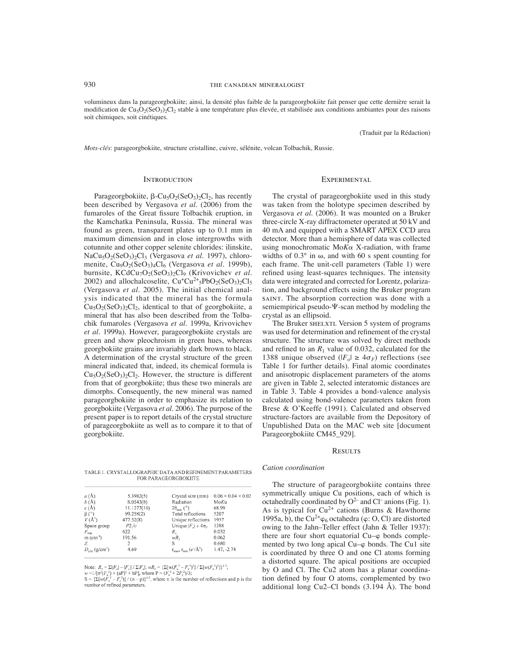volumineux dans la parageorgbokiite; ainsi, la densité plus faible de la parageorgbokiite fait penser que cette dernière serait la modification de Cu<sub>5</sub>O<sub>2</sub>(SeO<sub>3</sub>)<sub>2</sub>Cl<sub>2</sub> stable à une température plus élevée, et stabilisée aux conditions ambiantes pour des raisons soit chimiques, soit cinétiques.

(Traduit par la Rédaction)

*Mots-clés*: parageorgbokiite, structure cristalline, cuivre, sélénite, volcan Tolbachik, Russie.

#### **INTRODUCTION**

Parageorgbokiite,  $\beta$ -Cu<sub>5</sub>O<sub>2</sub>(SeO<sub>3</sub>)<sub>2</sub>Cl<sub>2</sub>, has recently been described by Vergasova *et al*. (2006) from the fumaroles of the Great fissure Tolbachik eruption, in the Kamchatka Peninsula, Russia. The mineral was found as green, transparent plates up to 0.1 mm in maximum dimension and in close intergrowths with cotunnite and other copper selenite chlorides: ilinskite, NaCu5O2(SeO3)2Cl3 (Vergasova *et al.* 1997), chloromenite, Cu<sub>9</sub>O<sub>2</sub>(SeO<sub>3</sub>)<sub>4</sub>Cl<sub>6</sub> (Vergasova *et al.* 1999b), burnsite, KCdCu<sub>7</sub>O<sub>2</sub>(SeO<sub>3</sub>)<sub>2</sub>Cl<sub>9</sub> (Krivovichev *et al.* 2002) and allochalcoselite,  $Cu<sup>+</sup>Cu<sup>2+</sup>5PbO<sub>2</sub>(SeO<sub>3</sub>)<sub>2</sub>Cl<sub>5</sub>$ (Vergasova *et al.* 2005). The initial chemical analysis indicated that the mineral has the formula  $Cu<sub>5</sub>O<sub>2</sub>(SeO<sub>3</sub>)<sub>2</sub>Cl<sub>2</sub>$ , identical to that of georgbokiite, a mineral that has also been described from the Tolbachik fumaroles (Vergasova *et al*. 1999a, Krivovichev *et al*. 1999a). However, parageorgbokiite crystals are green and show pleochroism in green hues, whereas georgbokiite grains are invariably dark brown to black. A determination of the crystal structure of the green mineral indicated that, indeed, its chemical formula is  $Cu<sub>5</sub>O<sub>2</sub>(SeO<sub>3</sub>)<sub>2</sub>Cl<sub>2</sub>$ . However, the structure is different from that of georgbokiite; thus these two minerals are dimorphs. Consequently, the new mineral was named parageorgbokiite in order to emphasize its relation to georgbokiite (Vergasova *et al*. 2006). The purpose of the present paper is to report details of the crystal structure of parageorgbokiite as well as to compare it to that of georgbokiite.

TABLE 1. CRYSTALLOGRAPHIC DATA AND REFINEMENT PARAMETERS FOR PARAGEORGBOKHTE

| $a(\lambda)$             | 5.3982(5)   | Crystał size (mm)                                                 | $0.06 \times 0.04 \times 0.02$ |
|--------------------------|-------------|-------------------------------------------------------------------|--------------------------------|
| b(A)                     | 8.0543(8)   | Radiation                                                         | MoKa                           |
| c(A)                     | 11.1277(10) | $2\theta_{\text{max}}$ (°)                                        | 68.99                          |
| $\beta$ (°)              | 99.258(2)   | Total reflections                                                 | 5207                           |
| $V(\AA^3)$               | 477.52(8)   | Unique reflections                                                | 1957                           |
| Space group              | $P2$ ,/ $c$ | Unique $ F_n  \ge 4\sigma_F$                                      | 1388                           |
| $F_{\rm con}$            | 622         | $R_{1}$                                                           | 0.032                          |
| $m$ (cm <sup>-1</sup> )  | 191.56      | wR.                                                               | 0.062                          |
| Z                        |             | S                                                                 | 0.680                          |
| $D_{\text{obs}}(q/cm^3)$ | 4.69        | $r_{\text{max}}$ , $r_{\text{min}}$ ( $e^{\gamma}$ $\rm{\AA}^3$ ) | $1.47, -2.74$                  |

Note:  $R_1 = \sum_{i=1}^n |F_{i}| + |F_{i}| + \sum_{i=1}^n |F_{i}|$ ;  $wR_2 = {\sum [w(F_{i-1}^2 - F_{i-1}^2)^2] + \sum [w(F_{i-1}^2)^2]}$ 

#### **EXPERIMENTAL**

The crystal of parageorgbokiite used in this study was taken from the holotype specimen described by Vergasova *et al*. (2006). It was mounted on a Bruker three-circle X-ray diffractometer operated at 50 kV and 40 mA and equipped with a SMART APEX CCD area detector. More than a hemisphere of data was collected using monochromatic  $M \circ K \propto X$ -radiation, with frame widths of  $0.3^\circ$  in  $\omega$ , and with 60 s spent counting for each frame. The unit-cell parameters (Table 1) were refined using least-squares techniques. The intensity data were integrated and corrected for Lorentz, polarization, and background effects using the Bruker program saint. The absorption correction was done with a semiempirical pseudo- $\Psi$ -scan method by modeling the crystal as an ellipsoid.

The Bruker SHELXTL Version 5 system of programs was used for determination and refinement of the crystal structure. The structure was solved by direct methods and refined to an  $R_1$  value of 0.032, calculated for the 1388 unique observed  $(|F_0| \ge 4\sigma_F)$  reflections (see Table 1 for further details). Final atomic coordinates and anisotropic displacement parameters of the atoms are given in Table 2, selected interatomic distances are in Table 3. Table 4 provides a bond-valence analysis calculated using bond-valence parameters taken from Brese & O'Keeffe (1991). Calculated and observed structure-factors are available from the Depository of Unpublished Data on the MAC web site [document Parageorgbokiite CM45\_929].

#### **RESULTS**

*Cation coordination*

The structure of parageorgbokiite contains three symmetrically unique Cu positions, each of which is octahedrally coordinated by  $O^{2-}$  and Cl<sup>–</sup> anions (Fig. 1). As is typical for  $Cu^{2+}$  cations (Burns & Hawthorne 1995a, b), the Cu<sup>2+</sup> $\varphi_6$  octahedra ( $\varphi$ : O, Cl) are distorted owing to the Jahn–Teller effect (Jahn & Teller 1937): there are four short equatorial  $Cu$ - $\varphi$  bonds complemented by two long apical  $Cu-\varphi$  bonds. The Cu1 site is coordinated by three O and one Cl atoms forming a distorted square. The apical positions are occupied by O and Cl. The Cu2 atom has a planar coordination defined by four O atoms, complemented by two additional long Cu2–Cl bonds  $(3.194 \text{ Å})$ . The bond

w =1/[ $\sigma'(F_a^3) + (aP)^2 + bP_1^2$ , where  $P = (F_a^2 + 2F_a^2)/3$ ;<br> $S = \{ \sum [w(F_a^2 - F_c^2)] / (n - p) \}^{1/2}$ , where  $P = (F_a^2 + 2F_c^2)/3$ ;<br> $S = \{ \sum [w(F_a^2 - F_c^2)] / (n - p) \}^{1/2}$ , where n is the number of reflections and p is the number of refined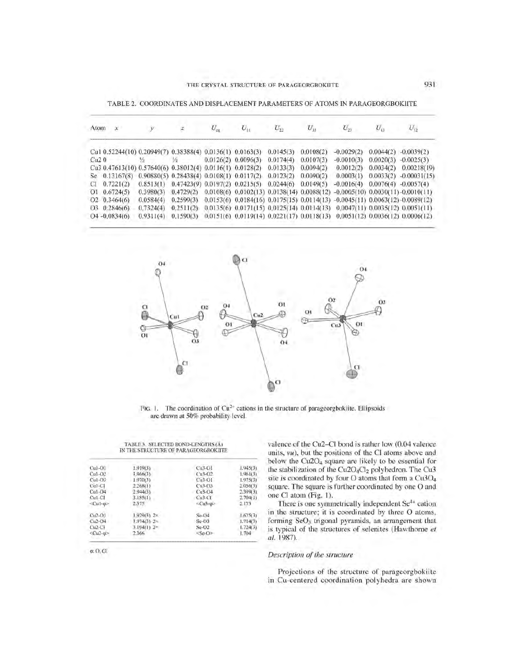| Atom | $\mathcal{X}$        |           |                                                           |                         |                         |           |                                                                                             | $U_{\scriptscriptstyle{1}}$ | $U_{12}$       |
|------|----------------------|-----------|-----------------------------------------------------------|-------------------------|-------------------------|-----------|---------------------------------------------------------------------------------------------|-----------------------------|----------------|
|      |                      |           | Cu1 0.52244(10) 0.20949(7) 0.38388(4) 0.0136(1) 0.0163(3) |                         | 0.0145(3)               | 0.0108(2) | $-0.0029(2)$                                                                                | 0.0044(2)                   | $-0.0039(2)$   |
| Cu20 |                      |           | 扬                                                         | $0.0126(2)$ $0.0096(3)$ | 0.0174(4)               | 0.0107(3) | $-0.0010(3)$                                                                                | 0.0020(3)                   | $-0.0025(3)$   |
|      |                      |           | Cu3 0.47613(10) 0.57640(6) 0.38012(4) 0.0116(1) 0.0128(2) |                         | 0.0133(3)               | 0.0094(2) | 0.0012(2)                                                                                   | 0.0034(2)                   | 0.00218(19)    |
|      | Se 0.13167(8)        |           | 0.90880(5) 0.28438(4) 0.0108(1) 0.0117(2)                 |                         | 0.0123(2)               | 0.0090(2) | 0.0003(1)                                                                                   | 0.0033(2)                   | $-0.00031(15)$ |
| CI   | 0.7221(2)            | 0.8513(1) | $0.47423(9)$ $0.0197(2)$ $0.0215(5)$                      |                         | $0.0244(6)$ $0.0149(5)$ |           | $-0.0016(4)$                                                                                | 0.0076(4)                   | $-0.0057(4)$   |
|      | $Q1 \quad 0.6724(5)$ | 0.3980(3) | 0.4729(2)                                                 |                         |                         |           | $0.0108(6)$ $0.0102(13)$ $0.0138(14)$ $0.0088(12)$ $-0.0005(10)$ $0.0030(11)$ $-0.0010(11)$ |                             |                |
|      | $O2 \quad 0.3464(6)$ | 0.0584(4) | 0.2599(3)                                                 |                         |                         |           | $0.0153(6)$ $0.0184(16)$ $0.0175(15)$ $0.0114(13)$ $-0.0045(11)$ $0.0063(12)$ $-0.0089(12)$ |                             |                |
|      | $O3 \quad 0.2846(6)$ | 0.7324(4) | 0.2511(2)                                                 |                         |                         |           | $0.0135(6)$ $0.0171(15)$ $0.0125(14)$ $0.0114(13)$ $0.0047(11)$ $0.0035(12)$ $0.0051(11)$   |                             |                |
|      | $O4 - 0.0834(6)$     | 0.9311(4) | 0.1590(3)                                                 |                         |                         |           | 0.0151(6) 0.0119(14) 0.0221(17) 0.0118(13) 0.0051(12) 0.0036(12) 0.0006(12)                 |                             |                |

TABLE 2. COORDINATES AND DISPLACEMENT PARAMETERS OF ATOMS IN PARAGEORGBOKlITE



FIG. 1. The coordination of  $Cu^{2+}$  cations in the structure of parageorgbokiite. Ellipsoids are drawn at 50% probability level.

#### TABLE 3. SELECTED BOND-LENGTHS (Al IN THE STRUCTURE OF PARAGEORGBOKIITE

| $Cu$ ]- $O$ ] | 1.919(3)              | $Cu3-O1$              | 1.945(3) |
|---------------|-----------------------|-----------------------|----------|
| $Cu1-O2$      | 1,966(3)              | $Cu3-O2$              | 1.961(3) |
| $Cu1-03$      | 1.970(3)              | $Cu3-O1$              | 1.975(3) |
| $Cu1-C1$      | 2.268(1)              | $Cu3-O3$              | 2.056(3) |
| $Ca1-O4$      | 2.944(3)              | $Cu3-O4$              | 2,399(3) |
| $Cu1-CI$      | 3.185(1)              | $Cu3-C1$              | 2.704(1) |
| $<$ Cul-m     | 2,375                 | $\leq$ Cu3- $\varphi$ | 2.173    |
| $Cu2-O1$      | $1.929(3)$ 2x         | SeO4                  | 1.675(3) |
| $Cu2-O4$      | $1.974(3) - 2 \times$ | $Se-23$               | 1.714(3) |
| $Cu2-Ci$      | $3.194(1)$ $2=$       | $Se-O2$               | 1.724(3) |
| $CD - 40$     | 2.366                 | $<$ Se-O $\ge$        | 1.704    |

 $\varphi$ : O. Cl

valence of the Cu2-CI bond is rather low (0.04 valence units, *vu),* but the positions of the Cl atoms above and below the Cu2O<sub>4</sub> square are likely to be essential for the stabilization of the Cu2O<sub>4</sub>Cl<sub>2</sub> polyhedron. The Cu3 site is coordinated by four O atoms that form a  $Cu3O<sub>4</sub>$ square. The square is further coordinated by one O and one Cl atom (Fig. I).

There is one symmetrically independent Se<sup>4+</sup> cation in the structure; it is coordinated by three 0 atoms, forming SeO<sub>3</sub> trigonal pyramids, an arrangement that is typical of the structures of selenites (Hawthorne *et at. 1987).*

# *Description of the structure*

Projections of the structure of parageorgbokiite in Cu-centered coordination polyhedra are shown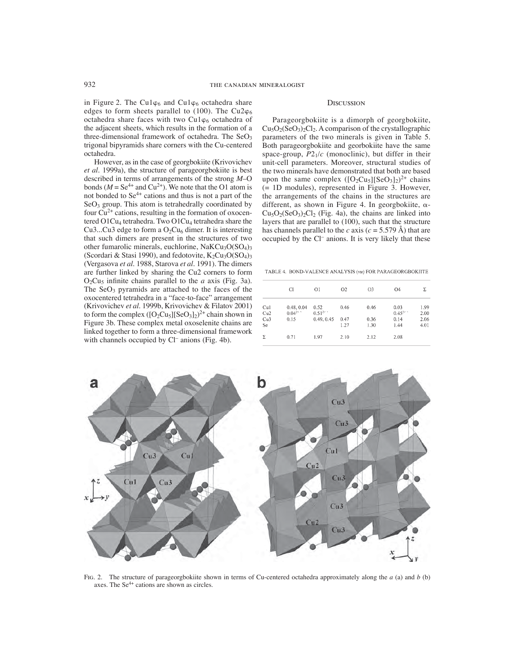in Figure 2. The Cu1 $\varphi_6$  and Cu1 $\varphi_6$  octahedra share edges to form sheets parallel to (100). The Cu2 $\varphi_6$ octahedra share faces with two Cu1 $\varphi_6$  octahedra of the adjacent sheets, which results in the formation of a three-dimensional framework of octahedra. The  $SeO<sub>3</sub>$ trigonal bipyramids share corners with the Cu-centered octahedra.

However, as in the case of georgbokiite (Krivovichev *et al*. 1999a), the structure of parageorgbokiite is best described in terms of arrangements of the strong *M*–O bonds ( $M = Se^{4+}$  and Cu<sup>2+</sup>). We note that the O1 atom is not bonded to Se4+ cations and thus is not a part of the  $SeO<sub>3</sub>$  group. This atom is tetrahedrally coordinated by four  $Cu^{2+}$  cations, resulting in the formation of oxocentered  $O1Cu<sub>4</sub>$  tetrahedra. Two  $O1Cu<sub>4</sub>$  tetrahedra share the Cu3...Cu3 edge to form a  $O_2Cu_6$  dimer. It is interesting that such dimers are present in the structures of two other fumarolic minerals, euchlorine,  $NaKCu<sub>3</sub>O(SO<sub>4</sub>)<sub>3</sub>$ (Scordari & Stasi 1990), and fedotovite,  $K_2Cu_3O(SO_4)$ <sub>3</sub> (Vergasova *et al*. 1988, Starova *et al*. 1991). The dimers are further linked by sharing the Cu2 corners to form  $O_2Cu_5$  infinite chains parallel to the *a* axis (Fig. 3a). The  $SeO<sub>3</sub>$  pyramids are attached to the faces of the oxocentered tetrahedra in a "face-to-face" arrangement (Krivovichev *et al*. 1999b, Krivovichev & Filatov 2001) to form the complex  $([O_2Cu_5][SeO_3]_2)^{2+}$  chain shown in Figure 3b. These complex metal oxoselenite chains are linked together to form a three-dimensional framework with channels occupied by Cl<sup>-</sup> anions (Fig. 4b).

# **DISCUSSION**

Parageorgbokiite is a dimorph of georgbokiite,  $Cu<sub>5</sub>O<sub>2</sub>(SeO<sub>3</sub>)<sub>2</sub>Cl<sub>2</sub>$ . A comparison of the crystallographic parameters of the two minerals is given in Table 5. Both parageorgbokiite and georbokiite have the same space-group,  $P2_1/c$  (monoclinic), but differ in their unit-cell parameters. Moreover, structural studies of the two minerals have demonstrated that both are based upon the same complex  $([O_2Cu_5][SeO_3]_2)^{2+}$  chains (= 1D modules), represented in Figure 3. However, the arrangements of the chains in the structures are different, as shown in Figure 4. In georgbokiite,  $\alpha$ - $Cu<sub>5</sub>O<sub>2</sub>(SeO<sub>3</sub>)<sub>2</sub>Cl<sub>2</sub>$  (Fig. 4a), the chains are linked into layers that are parallel to (100), such that the structure has channels parallel to the *c* axis ( $c = 5.579$  Å) that are occupied by the Cl– anions. It is very likely that these

TABLE 4. BOND-VALENCE ANALYSIS (vu) FOR PARAGEORGBOKIITE

|            | CI                        | O <sub>1</sub>       | O <sub>2</sub> | O <sub>3</sub> | O <sub>4</sub>      | Σ            |
|------------|---------------------------|----------------------|----------------|----------------|---------------------|--------------|
| Cul<br>Cu2 | 0.48, 0.04<br>$0.04^{28}$ | 0.52<br>$0.51^{2/-}$ | 0.46           | 0.46           | 0.03<br>$0.45^{27}$ | 1.99<br>2.00 |
| Cu3<br>Se  | 0.15                      | 0.49, 0.45           | 0.47<br>1.27   | 0.36<br>1.30   | 0.14<br>1.44        | 2.06<br>4.01 |
| Σ          | 0.71                      | 1.97                 | 2.10           | 2.12           | 2.08                |              |



Fig. 2. The structure of parageorgbokiite shown in terms of Cu-centered octahedra approximately along the *a* (a) and *b* (b) axes. The  $Se^{4+}$  cations are shown as circles.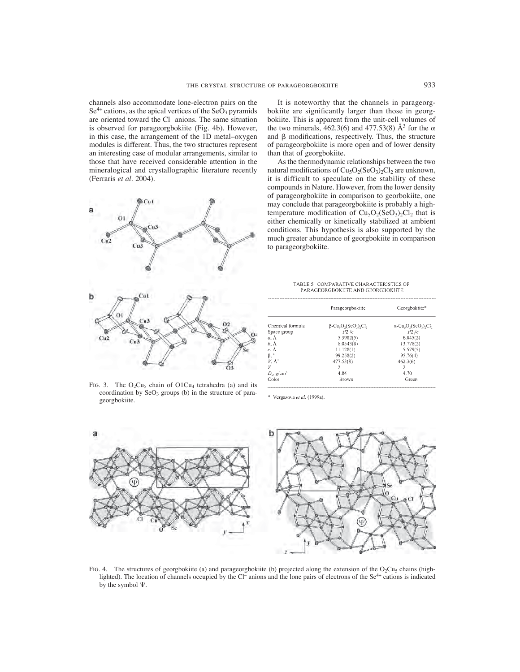channels also accommodate lone-electron pairs on the  $Se<sup>4+</sup>$  cations, as the apical vertices of the  $SeO<sub>3</sub>$  pyramids are oriented toward the Cl– anions. The same situation is observed for parageorgbokiite (Fig. 4b). However, in this case, the arrangement of the 1D metal–oxygen modules is different. Thus, the two structures represent an interesting case of modular arrangements, similar to those that have received considerable attention in the mineralogical and crystallographic literature recently (Ferraris *et al*. 2004).



FIG. 3. The  $O_2Cu_5$  chain of  $O1Cu_4$  tetrahedra (a) and its coordination by  $SeO<sub>3</sub>$  groups (b) in the structure of parageorgbokiite.

It is noteworthy that the channels in parageorgbokiite are significantly larger than those in georgbokiite. This is apparent from the unit-cell volumes of the two minerals, 462.3(6) and 477.53(8)  $\AA$ <sup>3</sup> for the  $\alpha$ and  $\beta$  modifications, respectively. Thus, the structure of parageorgbokiite is more open and of lower density than that of georgbokiite.

As the thermodynamic relationships between the two natural modifications of  $Cu<sub>5</sub>O<sub>2</sub>(SeO<sub>3</sub>)<sub>2</sub>Cl<sub>2</sub>$  are unknown, it is difficult to speculate on the stability of these compounds in Nature. However, from the lower density of parageorgbokiite in comparison to georbokiite, one may conclude that parageorgbokiite is probably a hightemperature modification of  $Cu<sub>5</sub>O<sub>2</sub>(SeO<sub>3</sub>)<sub>2</sub>Cl<sub>2</sub>$  that is either chemically or kinetically stabilized at ambient conditions. This hypothesis is also supported by the much greater abundance of georgbokiite in comparison to parageorgbokiite.

TABLE 5 COMPARATIVE CHARACTERISTICS OF PARAGEORGBOKIITE AND GEORGBOKIITE

|                           | Parageorgbokiite                                                                         | Georgbokiite*                                                                            |
|---------------------------|------------------------------------------------------------------------------------------|------------------------------------------------------------------------------------------|
| Chemical formula          | $\beta$ -Cu <sub>s</sub> O <sub>2</sub> (SeO <sub>3</sub> ) <sub>2</sub> Cl <sub>2</sub> | $\alpha$ -Cu <sub>s</sub> O <sub>2</sub> (SeO <sub>3</sub> ) <sub>2</sub> C <sub>3</sub> |
| Space group               | P2/c                                                                                     | $P2,$ / $c$                                                                              |
| a. Å                      | 5.3982(5)                                                                                | 6.045(2)                                                                                 |
| b, Å                      | 8.0543(8)                                                                                | 13.778(2)                                                                                |
| $c, \AA$                  | 11.128(1)                                                                                | 5.579(5)                                                                                 |
| $\beta$ , $\degree$       | 99.258(2)                                                                                | 95.76(4)                                                                                 |
| $V. \mathring{A}^3$       | 477.53(8)                                                                                | 462.3(6)                                                                                 |
| Z                         | 2                                                                                        | 2                                                                                        |
| $D_x$ , g/cm <sup>3</sup> | 4.84                                                                                     | 4.70                                                                                     |
| Color                     | Brown                                                                                    | Green                                                                                    |

\* Vergasova et al. (1999a).



FIG. 4. The structures of georgbokiite (a) and parageorgbokiite (b) projected along the extension of the  $O_2Cu_5$  chains (highlighted). The location of channels occupied by the Cl<sup>–</sup> anions and the lone pairs of electrons of the Se<sup>4+</sup> cations is indicated by the symbol  $\Psi$ .